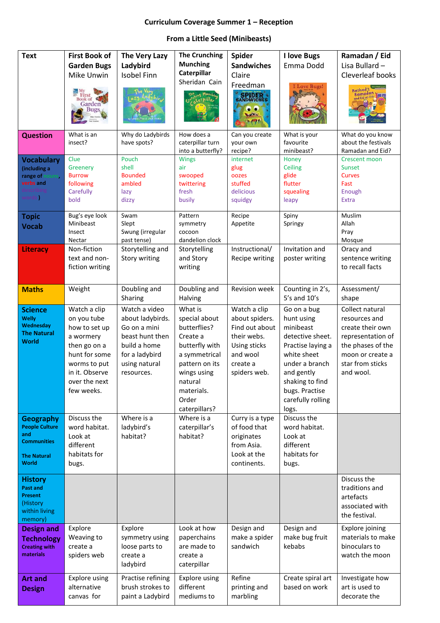## **Curriculum Coverage Summer 1 – Reception**

## **From a Little Seed (Minibeasts)**

| <b>Text</b>                                                                                           | <b>First Book of</b><br><b>Garden Bugs</b><br>Mike Unwin<br><b>Book of</b><br>Garden                                                                        | The Very Lazy<br>Ladybird<br><b>Isobel Finn</b>                                                                                       | <b>The Crunching</b><br><b>Munching</b><br>Caterpillar<br>Sheridan Cain<br>erpilla,                                                                                         | Spider<br><b>Sandwiches</b><br>Claire<br>Freedman<br><b>SPIDER</b><br>'e                                                | I love Bugs<br>Emma Dodd<br>Love Rugs!                                                                                                                                                            | Ramadan / Eid<br>Lisa Bullard -<br>Cleverleaf books<br>Rashad's                                                                                     |
|-------------------------------------------------------------------------------------------------------|-------------------------------------------------------------------------------------------------------------------------------------------------------------|---------------------------------------------------------------------------------------------------------------------------------------|-----------------------------------------------------------------------------------------------------------------------------------------------------------------------------|-------------------------------------------------------------------------------------------------------------------------|---------------------------------------------------------------------------------------------------------------------------------------------------------------------------------------------------|-----------------------------------------------------------------------------------------------------------------------------------------------------|
| <b>Question</b>                                                                                       | What is an<br>insect?                                                                                                                                       | Why do Ladybirds<br>have spots?                                                                                                       | How does a<br>caterpillar turn<br>into a butterfly?                                                                                                                         | Can you create<br>your own<br>recipe?                                                                                   | What is your<br>favourite<br>minibeast?                                                                                                                                                           | What do you know<br>about the festivals<br>Ramadan and Eid?                                                                                         |
| <b>Vocabulary</b><br>(including a<br>range of<br>ins.<br>verbs and<br>vords                           | Clue<br>Greenery<br><b>Burrow</b><br>following<br>Carefully<br>bold                                                                                         | Pouch<br>shell<br><b>Bounded</b><br>ambled<br>lazy<br>dizzy                                                                           | <b>Wings</b><br>air<br>swooped<br>twittering<br>fresh<br>busily                                                                                                             | internet<br>glug<br>oozes<br>stuffed<br>delicious<br>squidgy                                                            | Honey<br>Ceiling<br>glide<br>flutter<br>squealing<br>leapy                                                                                                                                        | <b>Crescent moon</b><br><b>Sunset</b><br><b>Curves</b><br>Fast<br>Enough<br><b>Extra</b>                                                            |
| <b>Topic</b><br><b>Vocab</b>                                                                          | Bug's eye look<br>Minibeast<br>Insect<br>Nectar                                                                                                             | Swam<br>Slept<br>Swung (irregular<br>past tense)                                                                                      | Pattern<br>symmetry<br>cocoon<br>dandelion clock                                                                                                                            | Recipe<br>Appetite                                                                                                      | Spiny<br>Springy                                                                                                                                                                                  | Muslim<br>Allah<br>Pray<br>Mosque                                                                                                                   |
| <b>Literacy</b>                                                                                       | Non-fiction<br>text and non-<br>fiction writing                                                                                                             | Storytelling and<br>Story writing                                                                                                     | Storytelling<br>and Story<br>writing                                                                                                                                        | Instructional/<br>Recipe writing                                                                                        | Invitation and<br>poster writing                                                                                                                                                                  | Oracy and<br>sentence writing<br>to recall facts                                                                                                    |
| <b>Maths</b>                                                                                          | Weight                                                                                                                                                      | Doubling and<br>Sharing                                                                                                               | Doubling and<br>Halving                                                                                                                                                     | Revision week                                                                                                           | Counting in 2's,<br>$5's$ and $10's$                                                                                                                                                              | Assessment/<br>shape                                                                                                                                |
| <b>Science</b><br><b>Welly</b><br>Wednesday<br><b>The Natural</b><br><b>World</b>                     | Watch a clip<br>on you tube<br>how to set up<br>a wormery<br>then go on a<br>hunt for some<br>worms to put<br>in it. Observe<br>over the next<br>few weeks. | Watch a video<br>about ladybirds.<br>Go on a mini<br>beast hunt then<br>build a home<br>for a ladybird<br>using natural<br>resources. | What is<br>special about<br>butterflies?<br>Create a<br>butterfly with<br>a symmetrical<br>pattern on its<br>wings using<br>natural<br>materials.<br>Order<br>caterpillars? | Watch a clip<br>about spiders.<br>Find out about<br>their webs.<br>Using sticks<br>and wool<br>create a<br>spiders web. | Go on a bug<br>hunt using<br>minibeast<br>detective sheet.<br>Practise laying a<br>white sheet<br>under a branch<br>and gently<br>shaking to find<br>bugs. Practise<br>carefully rolling<br>logs. | Collect natural<br>resources and<br>create their own<br>representation of<br>the phases of the<br>moon or create a<br>star from sticks<br>and wool. |
| <b>Geography</b><br><b>People Culture</b><br>and<br><b>Communities</b><br><b>The Natural</b><br>World | Discuss the<br>word habitat.<br>Look at<br>different<br>habitats for<br>bugs.                                                                               | Where is a<br>ladybird's<br>habitat?                                                                                                  | Where is a<br>caterpillar's<br>habitat?                                                                                                                                     | Curry is a type<br>of food that<br>originates<br>from Asia.<br>Look at the<br>continents.                               | Discuss the<br>word habitat.<br>Look at<br>different<br>habitats for<br>bugs.                                                                                                                     |                                                                                                                                                     |
| <b>History</b><br><b>Past and</b><br><b>Present</b><br>(History<br>within living<br>memory)           |                                                                                                                                                             |                                                                                                                                       |                                                                                                                                                                             |                                                                                                                         |                                                                                                                                                                                                   | Discuss the<br>traditions and<br>artefacts<br>associated with<br>the festival.                                                                      |
| <b>Design and</b><br><b>Technology</b><br><b>Creating with</b><br>materials                           | Explore<br>Weaving to<br>create a<br>spiders web                                                                                                            | Explore<br>symmetry using<br>loose parts to<br>create a<br>ladybird                                                                   | Look at how<br>paperchains<br>are made to<br>create a<br>caterpillar                                                                                                        | Design and<br>make a spider<br>sandwich                                                                                 | Design and<br>make bug fruit<br>kebabs                                                                                                                                                            | Explore joining<br>materials to make<br>binoculars to<br>watch the moon                                                                             |
| <b>Art and</b><br><b>Design</b>                                                                       | <b>Explore using</b><br>alternative<br>canvas for                                                                                                           | Practise refining<br>brush strokes to<br>paint a Ladybird                                                                             | Explore using<br>different<br>mediums to                                                                                                                                    | Refine<br>printing and<br>marbling                                                                                      | Create spiral art<br>based on work                                                                                                                                                                | Investigate how<br>art is used to<br>decorate the                                                                                                   |